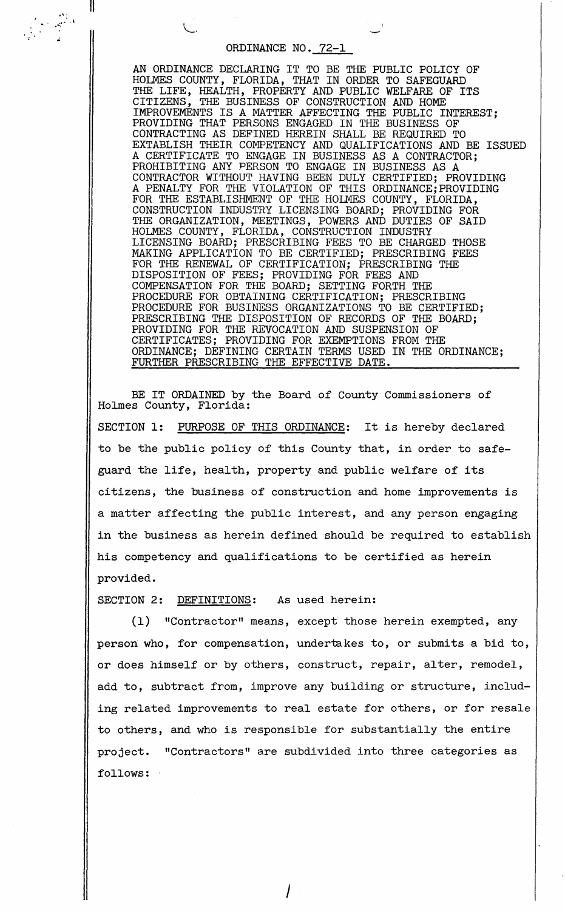## ORDINANCE NO. 72-1

II

AN ORDINANCE DECLARING IT TO BE THE PUBLIC POLICY OF HOLMES COUNTY, FLORIDA, THAT IN ORDER TO SAFEGUARD THE LIFE, HEALTH, PROPERTY AND PUBLIC WELFARE OF ITS CITIZENS, THE BUSINESS OF CONSTRUCTION AND HOME IMPROVEMENTS IS A MATTER AFFECTING THE PUBLIC INTEREST; PROVIDING THAT PERSONS ENGAGED IN THE BUSINESS OF CONTRACTING AS DEFINED HEREIN SHALL BE REQUIRED TO EXTABLISH THEIR COMPETENCY AND QUALIFICATIONS AND BE ISSUED A CERTIFICATE TO ENGAGE IN BUSINESS AS A CONTRACTOR; PROHIBITING ANY PERSON TO ENGAGE IN BUSINESS AS A CONTRACTOR WITHOUT HAVING BEEN DULY CERTIFIED; PROVIDING A PENALTY FOR THE VIOLATION OF THIS ORDINANCE;PROVIDING FOR THE ESTABLISHMENT OF THE HOLMES COUNTY, FLORIDA, CONSTRUCTION INDUSTRY LICENSING BOARD; PROVIDING FOR THE ORGANIZATION, MEETINGS, POWERS AND DUTIES OF SAID HOLMES COUNTY, FLORIDA, CONSTRUCTION INDUSTRY LICENSING BOARD; PRESCRIBING FEES TO BE CHARGED THOSE MAKING APPLICATION TO BE CERTIFIED; PRESCRIBING FEES FOR THE RENEWAL OF CERTIFICATION; PRESCRIBING THE DISPOSITION OF FEES; PROVIDING FOR FEES AND COMPENSATION FOR THE BOARD; SETTING FORTH THE PROCEDURE FOR OBTAINING CERTIFICATION; PRESCRIBING PROCEDURE FOR BUSINESS ORGANIZATIONS TO BE CERTIFIED; PRESCRIBING THE DISPOSITION OF RECORDS OF THE BOARD; PROVIDING FOR THE REVOCATION AND SUSPENSION OF CERTIFICATES; PROVIDING FOR EXEMPTIONS FROM THE ORDINANCE; DEFINING CERTAIN TERMS USED IN THE ORDINANCE; FURTHER PRESCRIBING THE EFFECTIVE DATE.

BE IT ORDAINED by the Board of County Commissioners of Holmes County, Florida:

SECTION 1: PURPOSE OF THIS ORDINANCE: It is hereby declared to be the public policy of this County that, in order to safeguard the life, health, property and public welfare of its citizens, the business of construction and home improvements is a matter affecting the public interest, and any person engaging in the business as herein defined should be required to establish his competency and qualifications to be certified as herein provided.

SECTION 2: DEFINITIONS: As used herein:

(1) "Contractor" means, except those herein exempted, any person who, for compensation, undertakes to, or submits a bid to, or does himself or by others, construct, repair, alter, remodel, add to, subtract from, improve any building or structure, including related improvements to real estate for others, or for resale to others, and who is responsible for substantially the entire project. "Contractors" are subdivided into three categories as follows: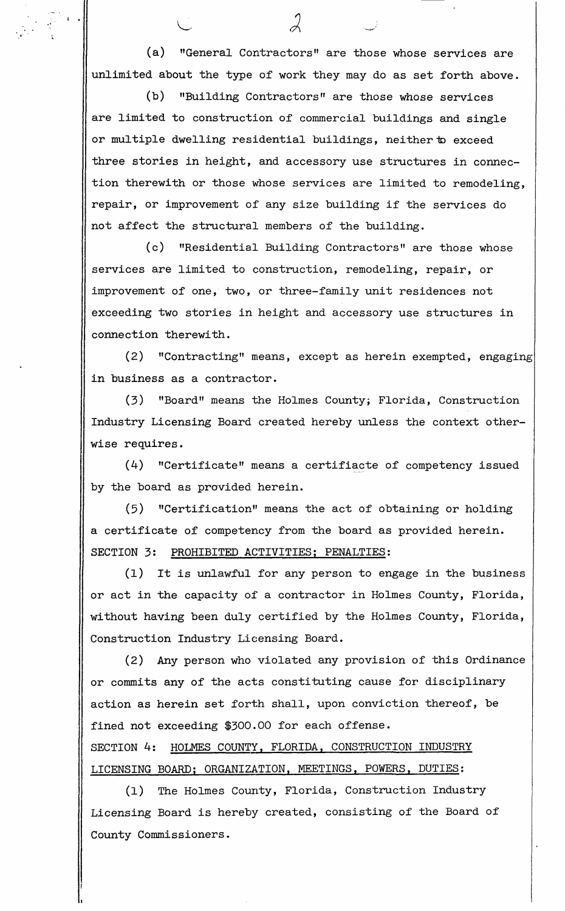(a) "General Contractors" are those whose services are unlimited about the type of work they may do as set forth above.

 $\cdot \cdot$   $\parallel$ 

(b) "Building Contractors" are those whose services are limited to construction of commercial buildings and single or multiple dwelling residential buildings, neither to exceed three stories in height, and accessory use structures in connection therewith or those whose services are limited to remodeling, repair, or improvement of any size building if the services do not affect the structural members of the building.

(c) "Residential Building Contractors" are those whose services are limited to construction, remodeling, repair, or improvement of one, two, or three-family unit residences not exceeding two stories in height and accessory use structures in connection therewith.

(2) "Contracting" means, except as herein exempted, engaging in business as a contractor.

(3) "Board" means the Holmes County; Florida, Construction Industry Licensing Board created hereby unless the context otherwise requires.

(4) "Certificate" means a certifiacte of competency issued by the board as provided. herein.

(5) "Certification" means the act of obtaining or holding a certificate of competency from the board as provided herein. SECTION 3: PROHIBITED ACTIVITIES; PENALTIES:

(1) It is unlawful for any person to engage in the business or act in the capacity of a contractor in Holmes County, Florida, without having been duly certified by the Holmes County, Florida, Construction Industry Licensing Board.

(2) Any person who violated any provision of this Ordinance or commits any of the acts constituting cause for disciplinary action as herein set forth shall, upon conviction thereof, be fined not exceeding \$300.00 for each offense. SECTION 4: HOLMES COUNTY, FLORIDA, CONSTRUCTION INDUSTRY LICENSING BOARD; ORGANIZATION, MEETINGS, POWERS, DUTIES:

(1) The Holmes County, Florida, Construction Industry Licensing Board is hereby created, consisting of the Board of County Commissioners.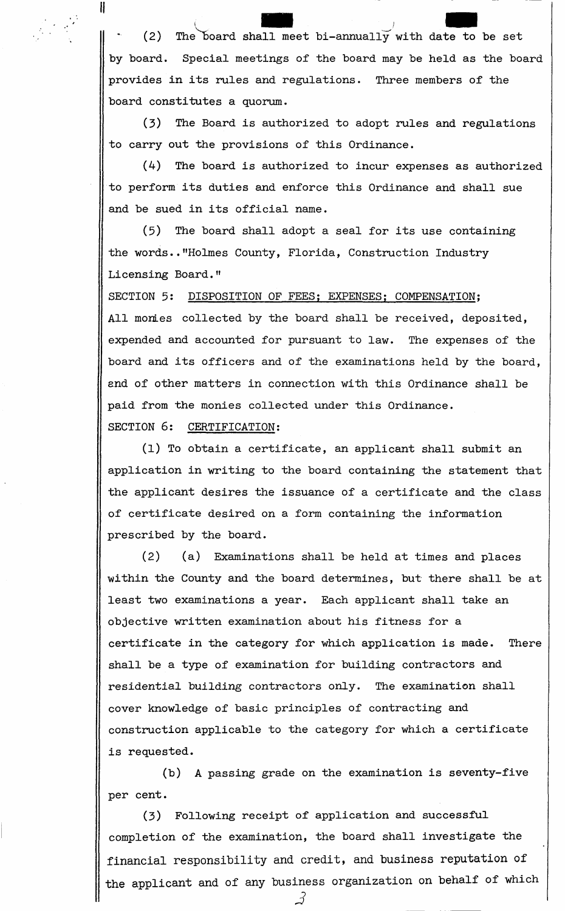(2) The board and the set of the set of the set of the set of the set of the set of the set of the set of the set of the set of the set of the set of the set of the set of the set of the set of the set of the set of the set of the set o shall meet bi-annually with date to be set by board. Special meetings of the board may be held as the board provides in its rules and regulations. Three members of the board constitutes a quorum.

 $\frac{1}{2}$  . If

(3) The Board is authorized to adopt rules and regulations to carry out the provisions of this Ordinance.

(4) The board is authorized to incur expenses as authorized to perform its duties and enforce this Ordinance and shall sue and be sued in its official name.

(5) The board shall adopt a seal for its use containing the words .• "Holmes County, Florida, Construction Industry Licensing Board."

SECTION 5: DISPOSITION OF FEES; EXPENSES; COMPENSATION; All monies collected by the board shall be received, deposited, expended and accounted for pursuant to law. The expenses of the board and its officers and of the examinations held by the board, and of other matters in connection with this Ordinance shall be paid from the monies collected under this Ordinance. SECTION 6: CERTIFICATION:

(1) To obtain a certificate, an applicant shall submit an application in writing to the board containing the statement that the applicant desires the issuance of a certificate and the class of certificate desired on a form containing the information prescribed by the board.

(2) (a) Examinations shall be held at times and places within the County and the board determines, but there shall be at least two examinations a year. Each applicant shall take an objective written examination about his fitness for a certificate in the category for which application is made. There shall be a type of examination for building contractors and residential building contractors only. The examination shall cover knowledge of basic principles of contracting and construction applicable to the category for which a certificate is requested.

(b) A passing grade on the examination is seventy-five per cent.

(3) Following receipt of application and successful completion of the examination, the board shall investigate the financial responsibility and credit, and business reputation of the applicant and of any business organization on behalf of which

*.3*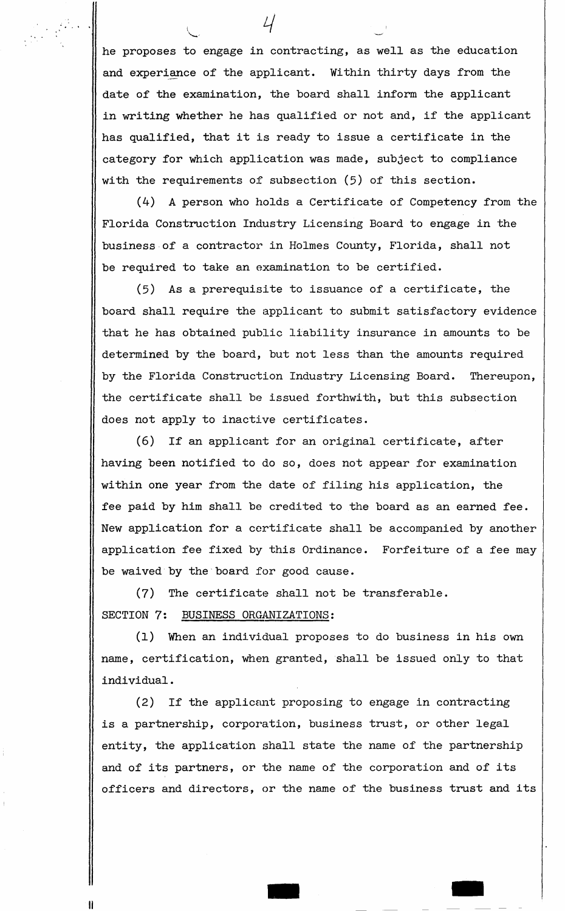he proposes to engage in contracting, as well as the education and experiance of the applicant. Within thirty days from the date of the examination, the board shall inform the applicant in writing whether he has qualified or not and, if the applicant has qualified, that it is ready to issue a certificate in the category for which application was made, subject to compliance with the requirements of subsection (5) of this section.

 $4<sup>1</sup>$ 

(4) A person who holds a Certificate of Competency from the Florida Construction Industry Licensing Board to engage in the business of a contractor in Holmes County, Florida, shall not be required to take an examination to be certified.

(5) As a prerequisite to issuance of a certificate, the board shall require the applicant to submit satisfactory evidence that he has obtained public liability insurance in amounts to be determined by the board, but not less than the amounts required by the Florida Construction Industry Licensing Board. Thereupon, the certificate shall be issued forthwith, but this subsection does not apply to inactive certificates.

(6) If an applicant for an original certificate, after having been notified to do so, does not appear for examination within one year from the date of filing his application, the fee paid by him shall be credited to the board as an earned fee. New application for a certificate shall be accompanied by another application fee fixed by this Ordinance. Forfeiture of a fee may be waived by the board for good cause.

(7) The certificate shall not be transferable. SECTION 7: BUSINESS ORGANIZATIONS:

II

(1) When an individual proposes to do business in his own name, certification, when granted, shall be issued only to that individual.

(2) If the applicant proposing to engage in contracting is a partnership, corporation, business trust, or other legal entity, the application shall state the name of the partnership and of its partners, or the name of the corporation and of its officers and directors, or the name of the business trust and its

- -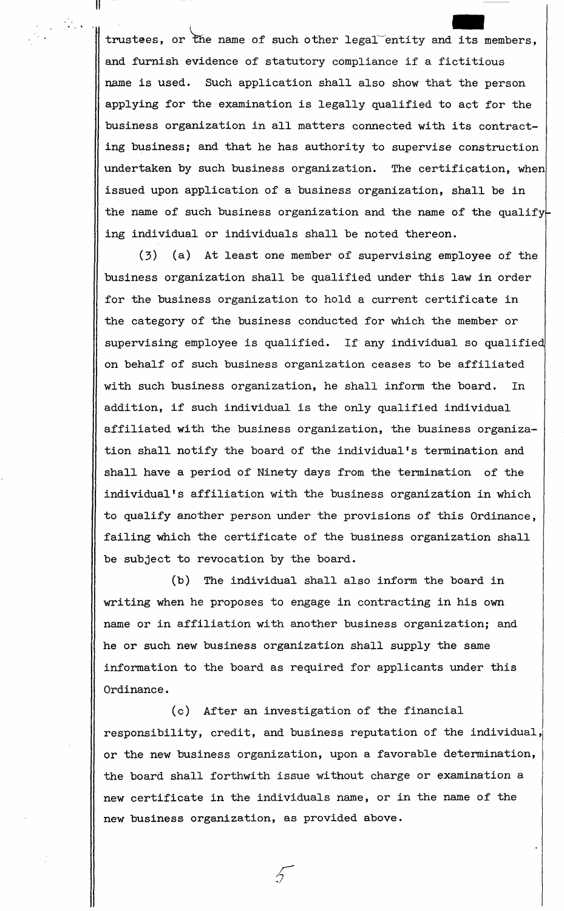. .  $\parallel$  trustees, or the name of such other legal entity and -<br>. it. its members, and furnish evidence of statutory compliance if a fictitious name is used. Such application shall also show that the person applying for the examination is legally qualified to act for the business organization in all matters connected with its contracting business; and that he has authority to supervise construction undertaken by such business organization. The certification, when issued upon application of a business organization, shall be in the name of such business organization and the name of the qualifying individual or individuals shall be noted thereon.

 $\frac{1}{2}$  .  $\frac{1}{2}$ 

(3) (a) At least one member of supervising employee of the business organization shall be qualified under this law in order for the business organization to hold a current certificate in the category of the business conducted for which the member or supervising employee is qualified. If any individual so qualified on behalf of such business organization ceases to be affiliated with such business organization, he shall inform the board. In addition, if such individual is the only qualified individual affiliated with the business organization, the business organization shall notify the board of the individual's termination and shall have a period of Ninety days from the termination of the individual's affiliation with the business organization in which to qualify another person under the provisions of this Ordinance, failing which the certificate of the business organization shall be subject to revocation by the board.

(b) The individual shall also inform the board in writing when he proposes to engage in contracting in his own name or in affiliation with another business organization; and he or such new business organization shall supply the same information to the board as required for applicants under this Ordinance.

(c) After an investigation of the financial responsibility, credit, and business reputation of the individual, or the new business organization, upon a favorable determination, the board shall forthwith issue without charge or examination a new certificate in the individuals name, or in the name of the new business organization, as provided above.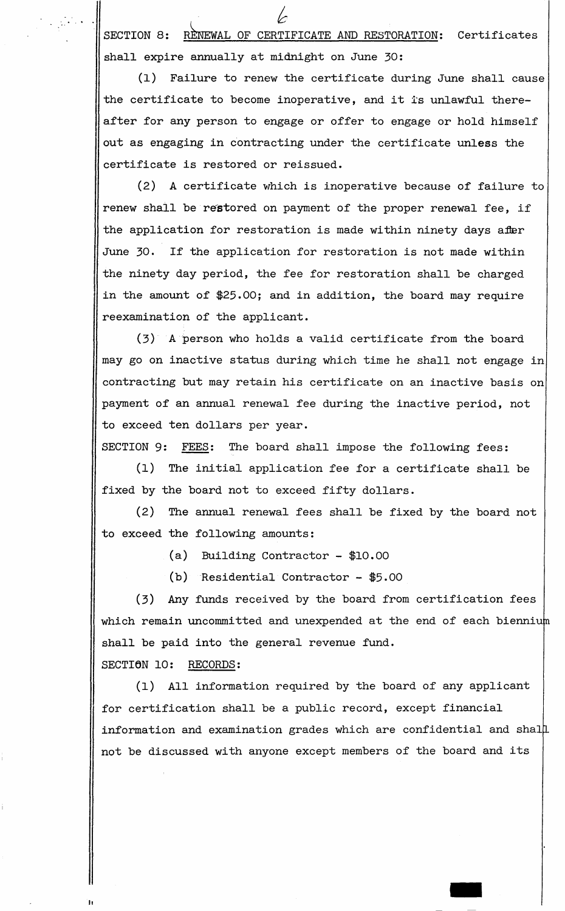SECTION 8: RENEWAL OF CERTIFICATE AND RESTORATION: Certificates *k*  shall expire annually at midnight on June 30:

(1) Failure to renew the certificate during June shall cause the certificate to become inoperative, and it is unlawful thereafter for any person to engage or offer to engage or hold himself out as engaging in contracting under the certificate **unless** the certificate is restored or reissued.

(2) **A** certificate which is inoperative because of failure to renew shall be restored on payment of the proper renewal fee, if the application for restoration is made within ninety days after June 30. If the application for restoration is not made within the ninety day period, the fee for restoration shall be charged in the amount of \$25.00; and in addition, the board may require reexamination of the applicant.

(3) A person who holds a valid certificate from the board may go on inactive status during which time he shall not engage in contracting but may retain his certificate on an inactive basis on payment of an annual renewal fee during the inactive period, not to exceed ten dollars per year.

SECTION 9: FEES: The board shall impose the following fees:

(1) The initial application fee for a certificate shall be fixed by the board not to exceed fifty dollars.

(2) The annual renewal fees shall be fixed by the board not to exceed the following amounts:

(a) Building Contractor - \$10.00

 $(b)$  Residential Contractor - \$5.00

(3) Any funds received by the board from certification fees which remain uncommitted and unexpended at the end of each biennium shall be paid into the general revenue fund.

SECTION 10: RECORDS:

"

(1) All information required by the board of any applicant for certification shall be a public record, except financial information and examination grades which are confidential and shal not be discussed with anyone except members of the board and its

-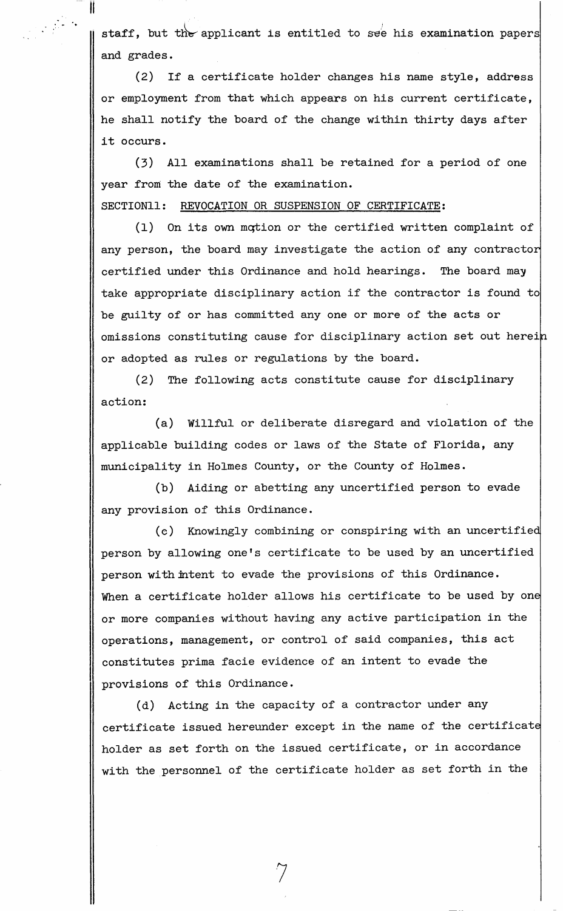staff, but the applicant is entitled to see his examination papers and grades.

(2) If a certificate holder changes his name style, address or employment from that which appears on his current certificate, he shall notify the board of the change within thirty days after it occurs.

(3) All examinations shall be retained for a period of one year from the date of the examination.

SECTION11: REVOCATION OR SUSPENSION OF CERTIFICATE:

II

(1) On its own mqtion or the certified written complaint of any person, the board may investigate the action of any contractor certified under this Ordinance and hold hearings. The board may take appropriate disciplinary action *if* the contractor *is* found to be guilty of or has committed any one or more of the acts or omissions constituting cause for disciplinary action set out herei or adopted as rules or regulations by the board.

(2) The following acts constitute cause for disciplinary action:

(a) Willful or deliberate disregard and violation of the applicable building codes or laws of the State of Florida, any municipality in Holmes County, or the County of Holmes.

(b) Aiding or abetting any uncertified person to evade any provision of this Ordinance.

(c) Knowingly combining or conspiring with an uncertifie person by allowing one's certificate to be used by an uncertified person with intent to evade the provisions of this Ordinance. When a certificate holder allows his certificate to be used by one or more companies without having any active participation in the operations, management, or control of said companies, this act constitutes prima facie evidence of an intent to evade the provisions of this Ordinance.

(d) Acting in the capacity of a contractor under any certificate issued hereunder except in the name of the certificat holder as set forth on the issued certificate, or in accordance with the personnel of the certificate holder as set forth in the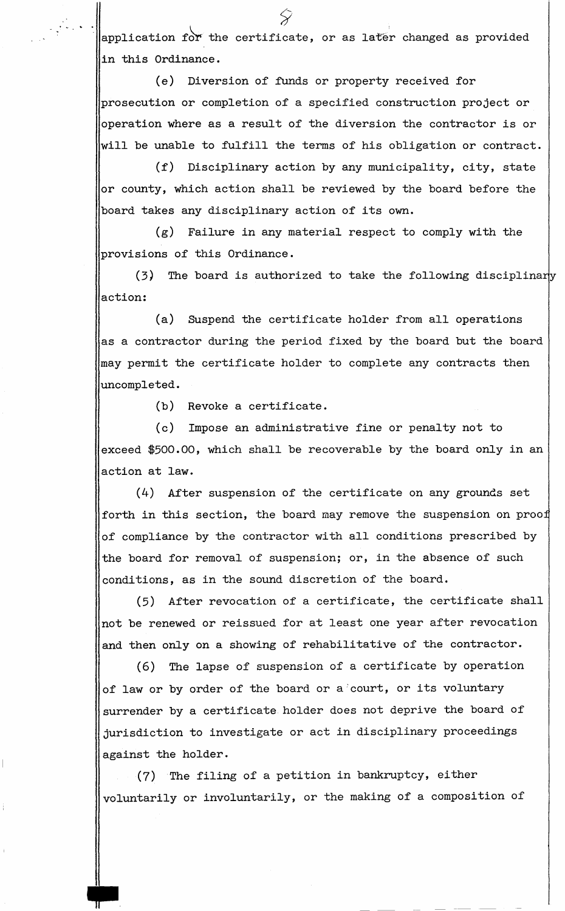$|$ application for the certificate, or as later changed as provided in this Ordinance.

(e) Diversion of funds or property received for prosecution or completion of a specified construction project or operation where as a result of the diversion the contractor is or will be unable to fulfill the terms of his obligation or contract.

(f) Disciplinary action by any municipality, city, state or county, which action shall be reviewed by the board before the board takes any disciplinary action of its own.

(g) Failure in any material respect to comply with the provisions of this Ordinance.

 $(3)$  The board is authorized to take the following disciplinary action:

(a) Suspend the certificate holder from all operations as a contractor during the period fixed by the board but the board may permit the certificate holder to complete any contracts then uncompleted.

(b) Revoke a certificate.

(c) Impose an administrative fine or penalty not to exceed \$500.00, which shall be recoverable by the board only in an action at law.

(4) After suspension of the certificate on any grounds set forth in this section, the board may remove the suspension on proo of compliance by the contractor with all conditions prescribed by the board for removal of suspension; or, in the absence of such conditions, as in the sound discretion of the board.

(5) After revocation of a certificate, the certificate shall not be renewed or reissued for at least one year after revocation and then only on a showing of rehabilitative of the contractor.

(6) The lapse of suspension of a certificate by operation of law or by order of the board or a'court, or its voluntary surrender by a certificate holder does not deprive the board of jurisdiction to investigate or act in disciplinary proceedings against the holder.

(7) The filing of a petition in bankruptcy, either voluntarily or involuntarily, or the making of a composition of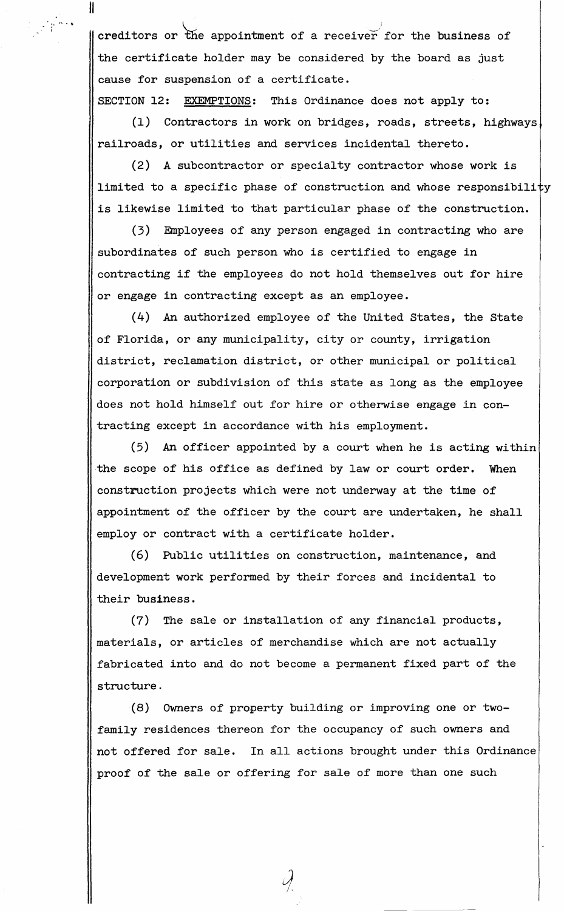$\parallel$  creditors or the appointment of a receiver for the business of the certificate holder may be considered by the board as just cause for suspension of a certificate.

II

SECTION 12: EXEMPTIONS: This Ordinance does not apply to:

(1) Contractors in work on bridges, roads, streets, highways railroads, or utilities and services incidental thereto.

(2) A subcontractor or specialty contractor whose work is limited to a specific phase of construction and whose responsibility is likewise limited to that particular phase of the construction.

(3) Employees of any person engaged in contracting who are subordinates of such person who is certified to engage in contracting if the employees do not hold themselves out for hire or engage in contracting except as an employee.

(4) An authorized employee of the United States, the State of Florida, or any municipality, city or county, irrigation district, reclamation district, or other municipal or political corporation or subdivision of this state as long as the employee does not hold himself out for hire or otherwise engage in contracting except in accordance with his employment.

(5) An officer appointed by a court when he is acting within the scope of his office as defined by law or court order. When construction projects which were not underway at the time of appointment of the officer by the court are undertaken, he shall employ or contract with a certificate holder.

(6) Public utilities on construction, maintenance, and development work performed by their forces and incidental to their business.

(7) The sale or installation of any financial products, materials, or articles of merchandise which are not actually fabricated into and do not become a permanent fixed part of the **structure.** 

(8) Owners of property building or improving one or twofamily residences thereon for the occupancy of such owners and not offered for sale. In all actions brought under this Ordinance proof of the sale or offering for sale of more than one such